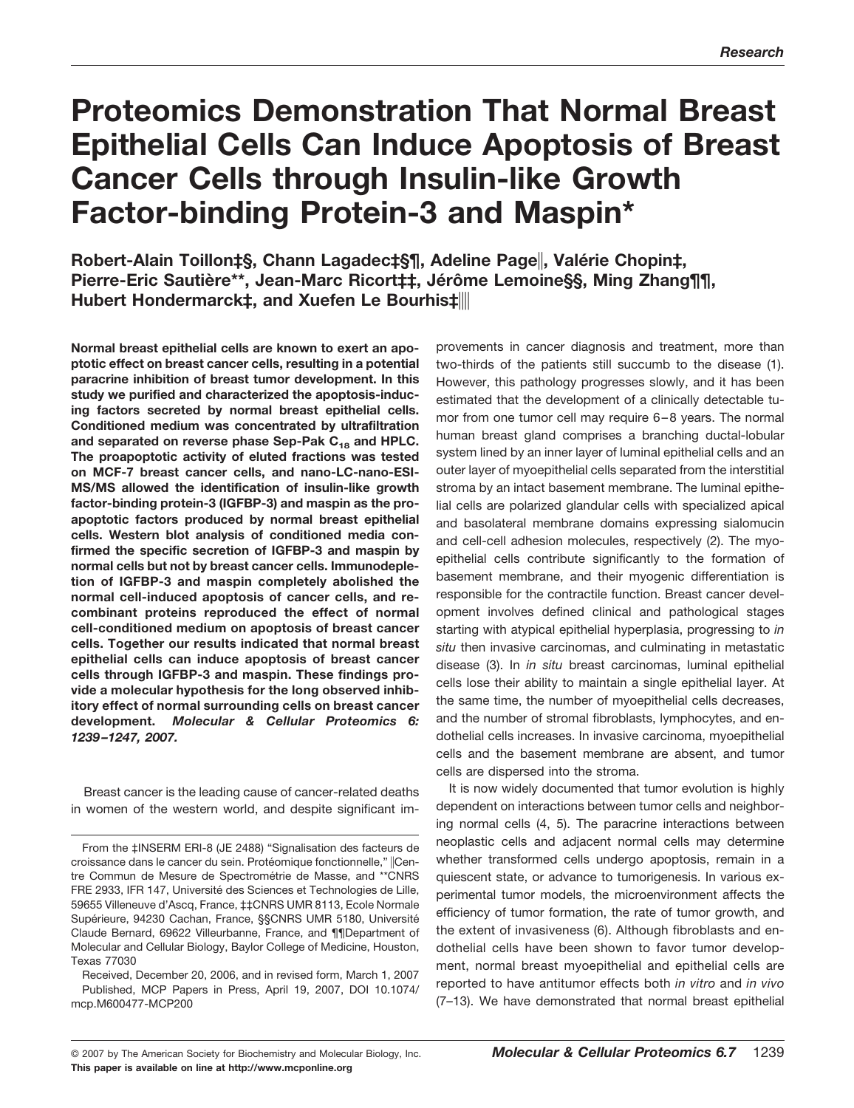# **Proteomics Demonstration That Normal Breast Epithelial Cells Can Induce Apoptosis of Breast Cancer Cells through Insulin-like Growth Factor-binding Protein-3 and Maspin\***

**Robert-Alain Toillon‡§, Chann Lagadec‡§¶, Adeline Page||, Valérie Chopin‡,** Pierre-Eric Sautière\*\*, Jean-Marc Ricort‡‡, Jérôme Lemoine§§, Ming Zhang¶¶, **Hubert Hondermarck‡, and Xuefen Le Bourhis‡**

**Normal breast epithelial cells are known to exert an apoptotic effect on breast cancer cells, resulting in a potential paracrine inhibition of breast tumor development. In this study we purified and characterized the apoptosis-inducing factors secreted by normal breast epithelial cells. Conditioned medium was concentrated by ultrafiltration** and separated on reverse phase Sep-Pak C<sub>18</sub> and HPLC. **The proapoptotic activity of eluted fractions was tested on MCF-7 breast cancer cells, and nano-LC-nano-ESI-MS/MS allowed the identification of insulin-like growth factor-binding protein-3 (IGFBP-3) and maspin as the proapoptotic factors produced by normal breast epithelial cells. Western blot analysis of conditioned media confirmed the specific secretion of IGFBP-3 and maspin by normal cells but not by breast cancer cells. Immunodepletion of IGFBP-3 and maspin completely abolished the normal cell-induced apoptosis of cancer cells, and recombinant proteins reproduced the effect of normal cell-conditioned medium on apoptosis of breast cancer cells. Together our results indicated that normal breast epithelial cells can induce apoptosis of breast cancer cells through IGFBP-3 and maspin. These findings provide a molecular hypothesis for the long observed inhibitory effect of normal surrounding cells on breast cancer development.** *Molecular & Cellular Proteomics 6: 1239 –1247, 2007.*

Breast cancer is the leading cause of cancer-related deaths in women of the western world, and despite significant improvements in cancer diagnosis and treatment, more than two-thirds of the patients still succumb to the disease (1). However, this pathology progresses slowly, and it has been estimated that the development of a clinically detectable tumor from one tumor cell may require 6 – 8 years. The normal human breast gland comprises a branching ductal-lobular system lined by an inner layer of luminal epithelial cells and an outer layer of myoepithelial cells separated from the interstitial stroma by an intact basement membrane. The luminal epithelial cells are polarized glandular cells with specialized apical and basolateral membrane domains expressing sialomucin and cell-cell adhesion molecules, respectively (2). The myoepithelial cells contribute significantly to the formation of basement membrane, and their myogenic differentiation is responsible for the contractile function. Breast cancer development involves defined clinical and pathological stages starting with atypical epithelial hyperplasia, progressing to *in situ* then invasive carcinomas, and culminating in metastatic disease (3). In *in situ* breast carcinomas, luminal epithelial cells lose their ability to maintain a single epithelial layer. At the same time, the number of myoepithelial cells decreases, and the number of stromal fibroblasts, lymphocytes, and endothelial cells increases. In invasive carcinoma, myoepithelial cells and the basement membrane are absent, and tumor cells are dispersed into the stroma.

It is now widely documented that tumor evolution is highly dependent on interactions between tumor cells and neighboring normal cells (4, 5). The paracrine interactions between neoplastic cells and adjacent normal cells may determine whether transformed cells undergo apoptosis, remain in a quiescent state, or advance to tumorigenesis. In various experimental tumor models, the microenvironment affects the efficiency of tumor formation, the rate of tumor growth, and the extent of invasiveness (6). Although fibroblasts and endothelial cells have been shown to favor tumor development, normal breast myoepithelial and epithelial cells are reported to have antitumor effects both *in vitro* and *in vivo* (7–13). We have demonstrated that normal breast epithelial

From the ‡INSERM ERI-8 (JE 2488) "Signalisation des facteurs de croissance dans le cancer du sein. Protéomique fonctionnelle," ||Centre Commun de Mesure de Spectrométrie de Masse, and \*\*CNRS FRE 2933, IFR 147, Université des Sciences et Technologies de Lille, 59655 Villeneuve d'Ascq, France, ‡‡CNRS UMR 8113, Ecole Normale Supérieure, 94230 Cachan, France, §§CNRS UMR 5180, Université Claude Bernard, 69622 Villeurbanne, France, and ¶¶Department of Molecular and Cellular Biology, Baylor College of Medicine, Houston, Texas 77030

Received, December 20, 2006, and in revised form, March 1, 2007 Published, MCP Papers in Press, April 19, 2007, DOI 10.1074/ mcp.M600477-MCP200

**This paper is available on line at http://www.mcponline.org**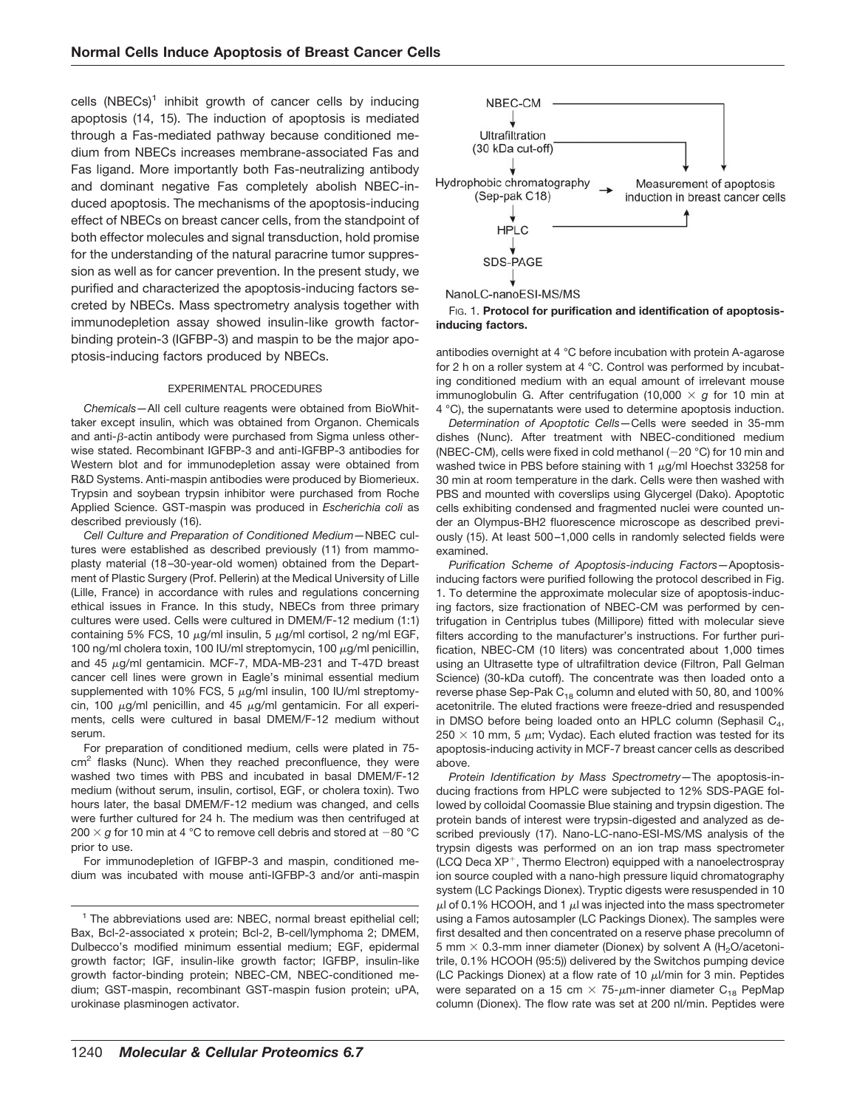cells  $(NBECs)^1$  inhibit growth of cancer cells by inducing apoptosis (14, 15). The induction of apoptosis is mediated through a Fas-mediated pathway because conditioned medium from NBECs increases membrane-associated Fas and Fas ligand. More importantly both Fas-neutralizing antibody and dominant negative Fas completely abolish NBEC-induced apoptosis. The mechanisms of the apoptosis-inducing effect of NBECs on breast cancer cells, from the standpoint of both effector molecules and signal transduction, hold promise for the understanding of the natural paracrine tumor suppression as well as for cancer prevention. In the present study, we purified and characterized the apoptosis-inducing factors secreted by NBECs. Mass spectrometry analysis together with immunodepletion assay showed insulin-like growth factorbinding protein-3 (IGFBP-3) and maspin to be the major apoptosis-inducing factors produced by NBECs.

## EXPERIMENTAL PROCEDURES

*Chemicals—*All cell culture reagents were obtained from BioWhittaker except insulin, which was obtained from Organon. Chemicals and anti- $\beta$ -actin antibody were purchased from Sigma unless otherwise stated. Recombinant IGFBP-3 and anti-IGFBP-3 antibodies for Western blot and for immunodepletion assay were obtained from R&D Systems. Anti-maspin antibodies were produced by Biomerieux. Trypsin and soybean trypsin inhibitor were purchased from Roche Applied Science. GST-maspin was produced in *Escherichia coli* as described previously (16).

*Cell Culture and Preparation of Conditioned Medium—*NBEC cultures were established as described previously (11) from mammoplasty material (18 –30-year-old women) obtained from the Department of Plastic Surgery (Prof. Pellerin) at the Medical University of Lille (Lille, France) in accordance with rules and regulations concerning ethical issues in France. In this study, NBECs from three primary cultures were used. Cells were cultured in DMEM/F-12 medium (1:1) containing 5% FCS, 10  $\mu$ g/ml insulin, 5  $\mu$ g/ml cortisol, 2 ng/ml EGF, 100 ng/ml cholera toxin, 100 IU/ml streptomycin, 100  $\mu$ g/ml penicillin, and 45  $\mu$ g/ml gentamicin. MCF-7, MDA-MB-231 and T-47D breast cancer cell lines were grown in Eagle's minimal essential medium supplemented with 10% FCS, 5  $\mu$ g/ml insulin, 100 IU/ml streptomycin, 100  $\mu$ g/ml penicillin, and 45  $\mu$ g/ml gentamicin. For all experiments, cells were cultured in basal DMEM/F-12 medium without serum.

For preparation of conditioned medium, cells were plated in 75  $cm<sup>2</sup>$  flasks (Nunc). When they reached preconfluence, they were washed two times with PBS and incubated in basal DMEM/F-12 medium (without serum, insulin, cortisol, EGF, or cholera toxin). Two hours later, the basal DMEM/F-12 medium was changed, and cells were further cultured for 24 h. The medium was then centrifuged at 200  $\times$   $g$  for 10 min at 4 °C to remove cell debris and stored at  $-$ 80 °C prior to use.

For immunodepletion of IGFBP-3 and maspin, conditioned medium was incubated with mouse anti-IGFBP-3 and/or anti-maspin





antibodies overnight at 4 °C before incubation with protein A-agarose for 2 h on a roller system at 4 °C. Control was performed by incubating conditioned medium with an equal amount of irrelevant mouse immunoglobulin G. After centrifugation (10,000  $\times$  g for 10 min at 4 °C), the supernatants were used to determine apoptosis induction.

*Determination of Apoptotic Cells—*Cells were seeded in 35-mm dishes (Nunc). After treatment with NBEC-conditioned medium (NBEC-CM), cells were fixed in cold methanol ( $-20$  °C) for 10 min and washed twice in PBS before staining with 1  $\mu$ g/ml Hoechst 33258 for 30 min at room temperature in the dark. Cells were then washed with PBS and mounted with coverslips using Glycergel (Dako). Apoptotic cells exhibiting condensed and fragmented nuclei were counted under an Olympus-BH2 fluorescence microscope as described previously (15). At least 500 –1,000 cells in randomly selected fields were examined.

*Purification Scheme of Apoptosis-inducing Factors—*Apoptosisinducing factors were purified following the protocol described in Fig. 1. To determine the approximate molecular size of apoptosis-inducing factors, size fractionation of NBEC-CM was performed by centrifugation in Centriplus tubes (Millipore) fitted with molecular sieve filters according to the manufacturer's instructions. For further purification, NBEC-CM (10 liters) was concentrated about 1,000 times using an Ultrasette type of ultrafiltration device (Filtron, Pall Gelman Science) (30-kDa cutoff). The concentrate was then loaded onto a reverse phase Sep-Pak  $C_{18}$  column and eluted with 50, 80, and 100% acetonitrile. The eluted fractions were freeze-dried and resuspended in DMSO before being loaded onto an HPLC column (Sephasil  $C_4$ , 250  $\times$  10 mm, 5  $\mu$ m; Vydac). Each eluted fraction was tested for its apoptosis-inducing activity in MCF-7 breast cancer cells as described above.

*Protein Identification by Mass Spectrometry—*The apoptosis-inducing fractions from HPLC were subjected to 12% SDS-PAGE followed by colloidal Coomassie Blue staining and trypsin digestion. The protein bands of interest were trypsin-digested and analyzed as described previously (17). Nano-LC-nano-ESI-MS/MS analysis of the trypsin digests was performed on an ion trap mass spectrometer (LCQ Deca  $XP^{+}$ , Thermo Electron) equipped with a nanoelectrospray ion source coupled with a nano-high pressure liquid chromatography system (LC Packings Dionex). Tryptic digests were resuspended in 10  $\mu$ l of 0.1% HCOOH, and 1  $\mu$ l was injected into the mass spectrometer using a Famos autosampler (LC Packings Dionex). The samples were first desalted and then concentrated on a reserve phase precolumn of 5 mm  $\times$  0.3-mm inner diameter (Dionex) by solvent A (H<sub>2</sub>O/acetonitrile, 0.1% HCOOH (95:5)) delivered by the Switchos pumping device (LC Packings Dionex) at a flow rate of 10  $\mu$ I/min for 3 min. Peptides were separated on a 15 cm  $\times$  75- $\mu$ m-inner diameter C<sub>18</sub> PepMap column (Dionex). The flow rate was set at 200 nl/min. Peptides were

 $1$  The abbreviations used are: NBEC, normal breast epithelial cell; Bax, Bcl-2-associated x protein; Bcl-2, B-cell/lymphoma 2; DMEM, Dulbecco's modified minimum essential medium; EGF, epidermal growth factor; IGF, insulin-like growth factor; IGFBP, insulin-like growth factor-binding protein; NBEC-CM, NBEC-conditioned medium; GST-maspin, recombinant GST-maspin fusion protein; uPA, urokinase plasminogen activator.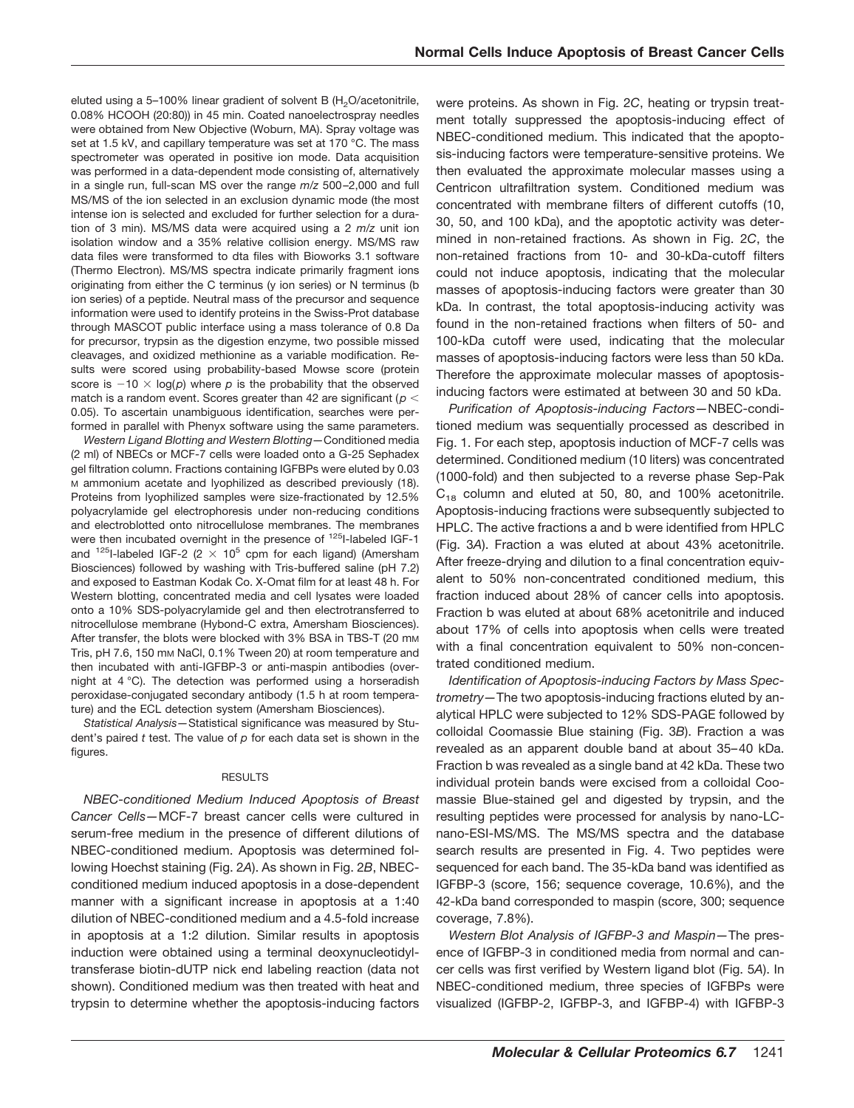eluted using a 5-100% linear gradient of solvent B  $(H<sub>2</sub>O/acetonitrile,$ 0.08% HCOOH (20:80)) in 45 min. Coated nanoelectrospray needles were obtained from New Objective (Woburn, MA). Spray voltage was set at 1.5 kV, and capillary temperature was set at 170 °C. The mass spectrometer was operated in positive ion mode. Data acquisition was performed in a data-dependent mode consisting of, alternatively in a single run, full-scan MS over the range *m*/*z* 500 –2,000 and full MS/MS of the ion selected in an exclusion dynamic mode (the most intense ion is selected and excluded for further selection for a duration of 3 min). MS/MS data were acquired using a 2 *m*/*z* unit ion isolation window and a 35% relative collision energy. MS/MS raw data files were transformed to dta files with Bioworks 3.1 software (Thermo Electron). MS/MS spectra indicate primarily fragment ions originating from either the C terminus (y ion series) or N terminus (b ion series) of a peptide. Neutral mass of the precursor and sequence information were used to identify proteins in the Swiss-Prot database through MASCOT public interface using a mass tolerance of 0.8 Da for precursor, trypsin as the digestion enzyme, two possible missed cleavages, and oxidized methionine as a variable modification. Results were scored using probability-based Mowse score (protein score is  $-10 \times \log(p)$  where p is the probability that the observed match is a random event. Scores greater than 42 are significant (*p* 0.05). To ascertain unambiguous identification, searches were performed in parallel with Phenyx software using the same parameters.

*Western Ligand Blotting and Western Blotting—*Conditioned media (2 ml) of NBECs or MCF-7 cells were loaded onto a G-25 Sephadex gel filtration column. Fractions containing IGFBPs were eluted by 0.03 M ammonium acetate and lyophilized as described previously (18). Proteins from lyophilized samples were size-fractionated by 12.5% polyacrylamide gel electrophoresis under non-reducing conditions and electroblotted onto nitrocellulose membranes. The membranes were then incubated overnight in the presence of <sup>125</sup>I-labeled IGF-1 and <sup>125</sup>I-labeled IGF-2 (2  $\times$  10<sup>5</sup> cpm for each ligand) (Amersham Biosciences) followed by washing with Tris-buffered saline (pH 7.2) and exposed to Eastman Kodak Co. X-Omat film for at least 48 h. For Western blotting, concentrated media and cell lysates were loaded onto a 10% SDS-polyacrylamide gel and then electrotransferred to nitrocellulose membrane (Hybond-C extra, Amersham Biosciences). After transfer, the blots were blocked with 3% BSA in TBS-T (20 mM Tris, pH 7.6, 150 mM NaCl, 0.1% Tween 20) at room temperature and then incubated with anti-IGFBP-3 or anti-maspin antibodies (overnight at 4 °C). The detection was performed using a horseradish peroxidase-conjugated secondary antibody (1.5 h at room temperature) and the ECL detection system (Amersham Biosciences).

*Statistical Analysis—*Statistical significance was measured by Student's paired *t* test. The value of *p* for each data set is shown in the figures.

### RESULTS

*NBEC-conditioned Medium Induced Apoptosis of Breast Cancer Cells—*MCF-7 breast cancer cells were cultured in serum-free medium in the presence of different dilutions of NBEC-conditioned medium. Apoptosis was determined following Hoechst staining (Fig. 2*A*). As shown in Fig. 2*B*, NBECconditioned medium induced apoptosis in a dose-dependent manner with a significant increase in apoptosis at a 1:40 dilution of NBEC-conditioned medium and a 4.5-fold increase in apoptosis at a 1:2 dilution. Similar results in apoptosis induction were obtained using a terminal deoxynucleotidyltransferase biotin-dUTP nick end labeling reaction (data not shown). Conditioned medium was then treated with heat and trypsin to determine whether the apoptosis-inducing factors

were proteins. As shown in Fig. 2*C*, heating or trypsin treatment totally suppressed the apoptosis-inducing effect of NBEC-conditioned medium. This indicated that the apoptosis-inducing factors were temperature-sensitive proteins. We then evaluated the approximate molecular masses using a Centricon ultrafiltration system. Conditioned medium was concentrated with membrane filters of different cutoffs (10, 30, 50, and 100 kDa), and the apoptotic activity was determined in non-retained fractions. As shown in Fig. 2*C*, the non-retained fractions from 10- and 30-kDa-cutoff filters could not induce apoptosis, indicating that the molecular masses of apoptosis-inducing factors were greater than 30 kDa. In contrast, the total apoptosis-inducing activity was found in the non-retained fractions when filters of 50- and 100-kDa cutoff were used, indicating that the molecular masses of apoptosis-inducing factors were less than 50 kDa. Therefore the approximate molecular masses of apoptosisinducing factors were estimated at between 30 and 50 kDa.

*Purification of Apoptosis-inducing Factors—*NBEC-conditioned medium was sequentially processed as described in Fig. 1. For each step, apoptosis induction of MCF-7 cells was determined. Conditioned medium (10 liters) was concentrated (1000-fold) and then subjected to a reverse phase Sep-Pak  $C_{18}$  column and eluted at 50, 80, and 100% acetonitrile. Apoptosis-inducing fractions were subsequently subjected to HPLC. The active fractions a and b were identified from HPLC (Fig. 3*A*). Fraction a was eluted at about 43% acetonitrile. After freeze-drying and dilution to a final concentration equivalent to 50% non-concentrated conditioned medium, this fraction induced about 28% of cancer cells into apoptosis. Fraction b was eluted at about 68% acetonitrile and induced about 17% of cells into apoptosis when cells were treated with a final concentration equivalent to 50% non-concentrated conditioned medium.

*Identification of Apoptosis-inducing Factors by Mass Spectrometry—*The two apoptosis-inducing fractions eluted by analytical HPLC were subjected to 12% SDS-PAGE followed by colloidal Coomassie Blue staining (Fig. 3*B*). Fraction a was revealed as an apparent double band at about 35– 40 kDa. Fraction b was revealed as a single band at 42 kDa. These two individual protein bands were excised from a colloidal Coomassie Blue-stained gel and digested by trypsin, and the resulting peptides were processed for analysis by nano-LCnano-ESI-MS/MS. The MS/MS spectra and the database search results are presented in Fig. 4. Two peptides were sequenced for each band. The 35-kDa band was identified as IGFBP-3 (score, 156; sequence coverage, 10.6%), and the 42-kDa band corresponded to maspin (score, 300; sequence coverage, 7.8%).

*Western Blot Analysis of IGFBP-3 and Maspin—*The presence of IGFBP-3 in conditioned media from normal and cancer cells was first verified by Western ligand blot (Fig. 5*A*). In NBEC-conditioned medium, three species of IGFBPs were visualized (IGFBP-2, IGFBP-3, and IGFBP-4) with IGFBP-3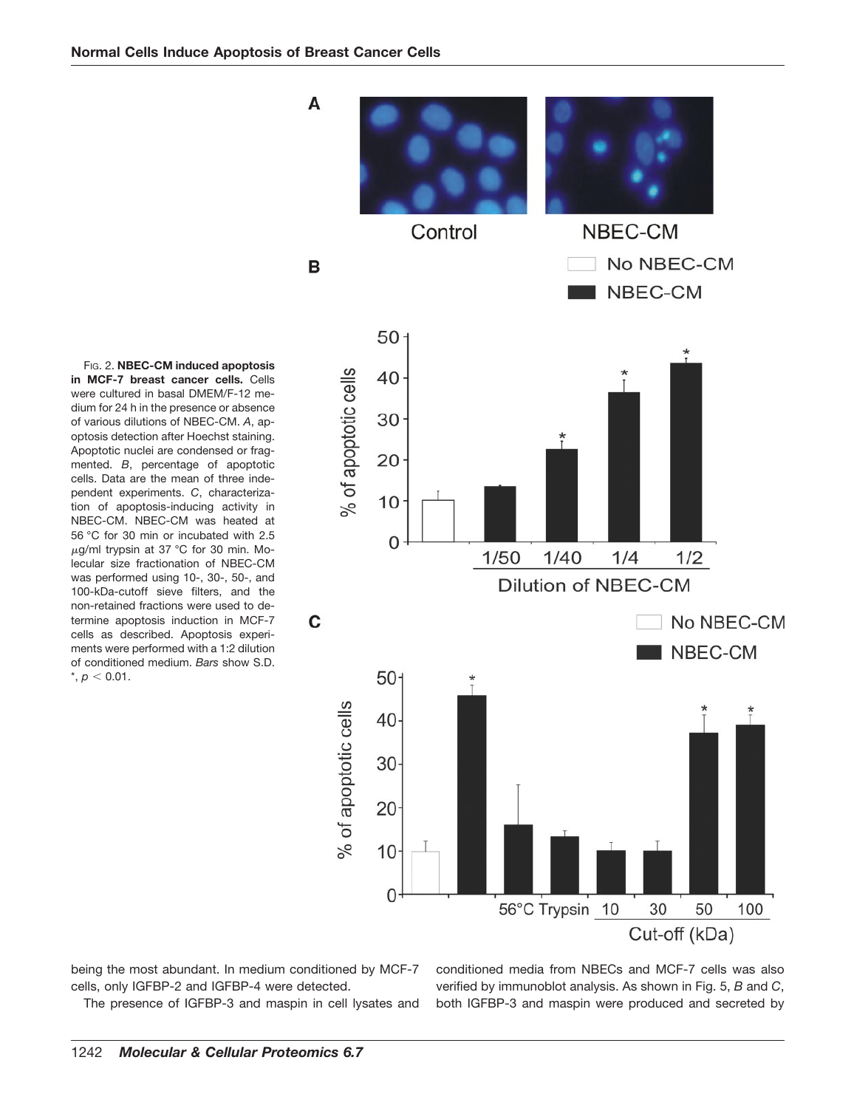

FIG. 2. **NBEC-CM induced apoptosis in MCF-7 breast cancer cells.** Cells were cultured in basal DMEM/F-12 medium for 24 h in the presence or absence of various dilutions of NBEC-CM. *A*, apoptosis detection after Hoechst staining. Apoptotic nuclei are condensed or fragmented. *B*, percentage of apoptotic cells. Data are the mean of three independent experiments. *C*, characterization of apoptosis-inducing activity in NBEC-CM. NBEC-CM was heated at 56 °C for 30 min or incubated with 2.5  $\mu$ g/ml trypsin at 37 °C for 30 min. Molecular size fractionation of NBEC-CM was performed using 10-, 30-, 50-, and 100-kDa-cutoff sieve filters, and the non-retained fractions were used to determine apoptosis induction in MCF-7 cells as described. Apoptosis experiments were performed with a 1:2 dilution of conditioned medium. *Bars* show S.D.  $*, p < 0.01.$ 

being the most abundant. In medium conditioned by MCF-7 cells, only IGFBP-2 and IGFBP-4 were detected.

The presence of IGFBP-3 and maspin in cell lysates and

conditioned media from NBECs and MCF-7 cells was also verified by immunoblot analysis. As shown in Fig. 5, *B* and *C*, both IGFBP-3 and maspin were produced and secreted by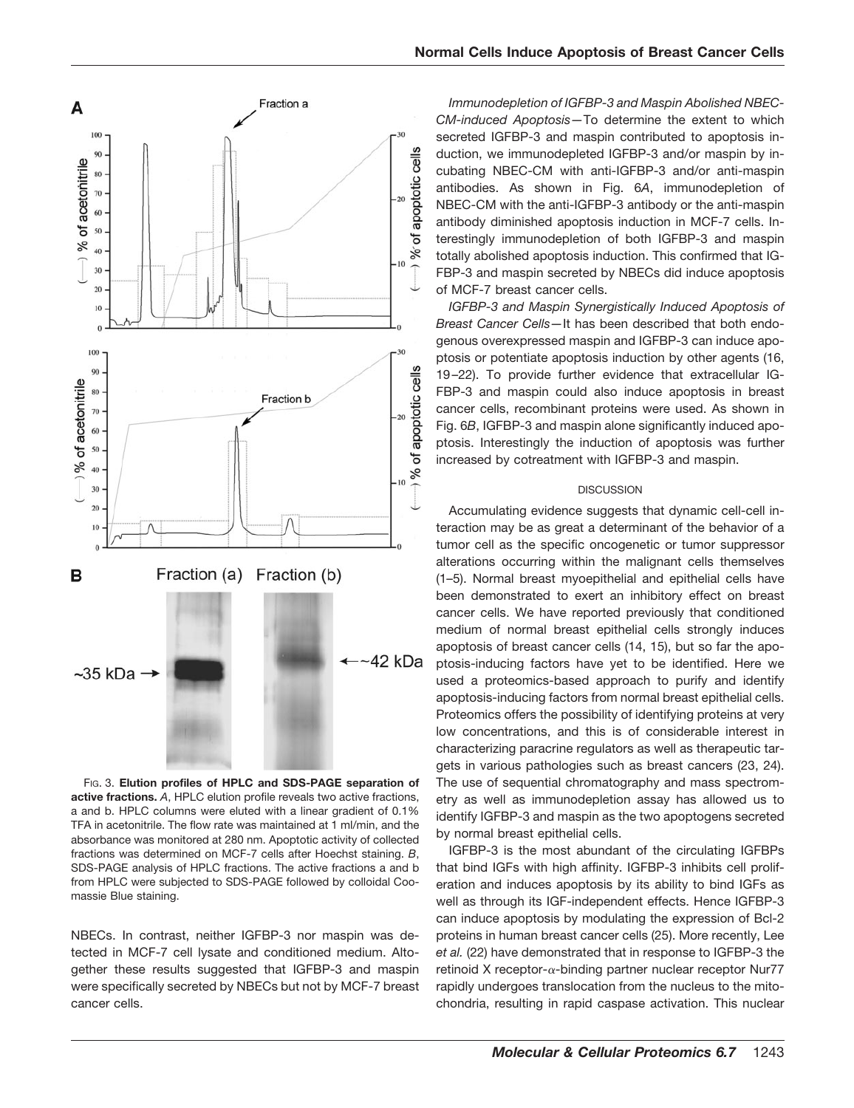

FIG. 3. **Elution profiles of HPLC and SDS-PAGE separation of active fractions.** *A*, HPLC elution profile reveals two active fractions, a and b. HPLC columns were eluted with a linear gradient of 0.1% TFA in acetonitrile. The flow rate was maintained at 1 ml/min, and the absorbance was monitored at 280 nm. Apoptotic activity of collected fractions was determined on MCF-7 cells after Hoechst staining. *B*, SDS-PAGE analysis of HPLC fractions. The active fractions a and b from HPLC were subjected to SDS-PAGE followed by colloidal Coomassie Blue staining.

NBECs. In contrast, neither IGFBP-3 nor maspin was detected in MCF-7 cell lysate and conditioned medium. Altogether these results suggested that IGFBP-3 and maspin were specifically secreted by NBECs but not by MCF-7 breast cancer cells.

*Immunodepletion of IGFBP-3 and Maspin Abolished NBEC-CM-induced Apoptosis—*To determine the extent to which secreted IGFBP-3 and maspin contributed to apoptosis induction, we immunodepleted IGFBP-3 and/or maspin by incubating NBEC-CM with anti-IGFBP-3 and/or anti-maspin antibodies. As shown in Fig. 6*A*, immunodepletion of NBEC-CM with the anti-IGFBP-3 antibody or the anti-maspin antibody diminished apoptosis induction in MCF-7 cells. Interestingly immunodepletion of both IGFBP-3 and maspin totally abolished apoptosis induction. This confirmed that IG-FBP-3 and maspin secreted by NBECs did induce apoptosis of MCF-7 breast cancer cells.

*IGFBP-3 and Maspin Synergistically Induced Apoptosis of Breast Cancer Cells—*It has been described that both endogenous overexpressed maspin and IGFBP-3 can induce apoptosis or potentiate apoptosis induction by other agents (16, 19 –22). To provide further evidence that extracellular IG-FBP-3 and maspin could also induce apoptosis in breast cancer cells, recombinant proteins were used. As shown in Fig. 6*B*, IGFBP-3 and maspin alone significantly induced apoptosis. Interestingly the induction of apoptosis was further increased by cotreatment with IGFBP-3 and maspin.

### **DISCUSSION**

Accumulating evidence suggests that dynamic cell-cell interaction may be as great a determinant of the behavior of a tumor cell as the specific oncogenetic or tumor suppressor alterations occurring within the malignant cells themselves (1–5). Normal breast myoepithelial and epithelial cells have been demonstrated to exert an inhibitory effect on breast cancer cells. We have reported previously that conditioned medium of normal breast epithelial cells strongly induces apoptosis of breast cancer cells (14, 15), but so far the apoptosis-inducing factors have yet to be identified. Here we used a proteomics-based approach to purify and identify apoptosis-inducing factors from normal breast epithelial cells. Proteomics offers the possibility of identifying proteins at very low concentrations, and this is of considerable interest in characterizing paracrine regulators as well as therapeutic targets in various pathologies such as breast cancers (23, 24). The use of sequential chromatography and mass spectrometry as well as immunodepletion assay has allowed us to identify IGFBP-3 and maspin as the two apoptogens secreted by normal breast epithelial cells.

IGFBP-3 is the most abundant of the circulating IGFBPs that bind IGFs with high affinity. IGFBP-3 inhibits cell proliferation and induces apoptosis by its ability to bind IGFs as well as through its IGF-independent effects. Hence IGFBP-3 can induce apoptosis by modulating the expression of Bcl-2 proteins in human breast cancer cells (25). More recently, Lee *et al.* (22) have demonstrated that in response to IGFBP-3 the retinoid X receptor- $\alpha$ -binding partner nuclear receptor Nur77 rapidly undergoes translocation from the nucleus to the mitochondria, resulting in rapid caspase activation. This nuclear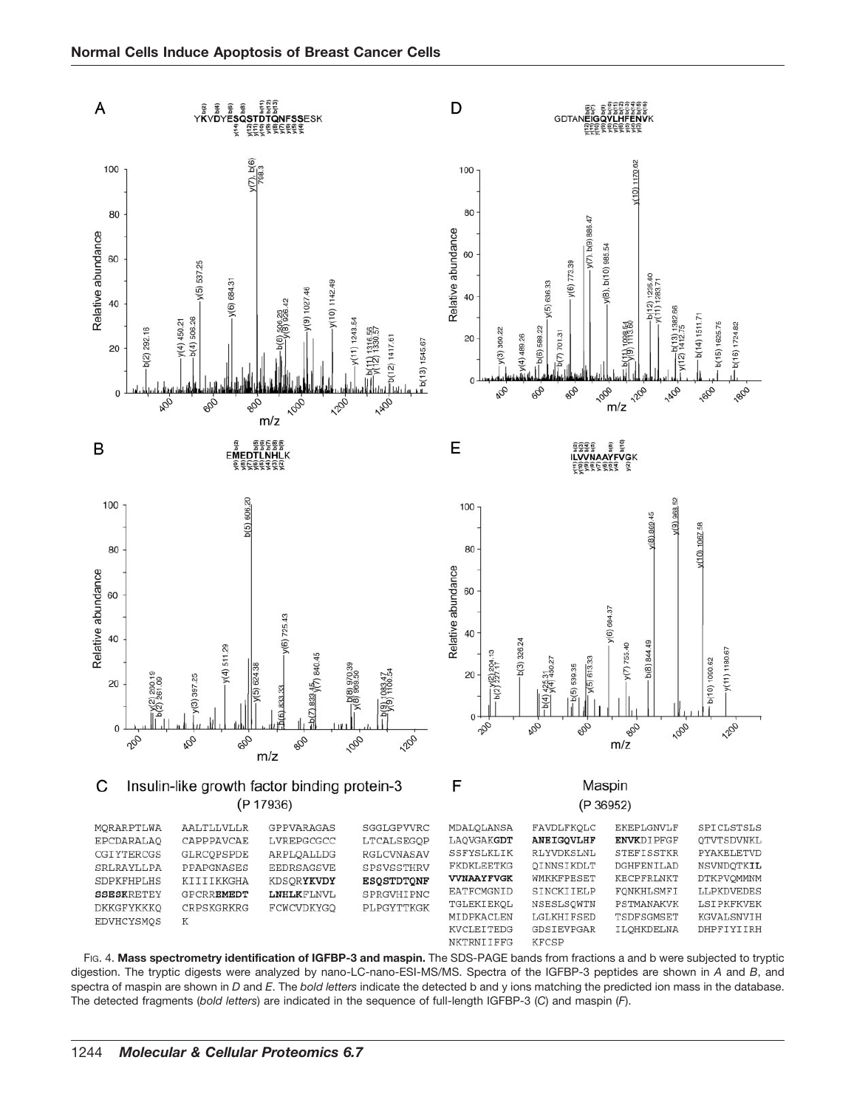

FIG. 4. **Mass spectrometry identification of IGFBP-3 and maspin.** The SDS-PAGE bands from fractions a and b were subjected to tryptic digestion. The tryptic digests were analyzed by nano-LC-nano-ESI-MS/MS. Spectra of the IGFBP-3 peptides are shown in *A* and *B*, and spectra of maspin are shown in *D* and *E*. The *bold letters* indicate the detected b and y ions matching the predicted ion mass in the database. The detected fragments (*bold letters*) are indicated in the sequence of full-length IGFBP-3 (*C*) and maspin (*F*).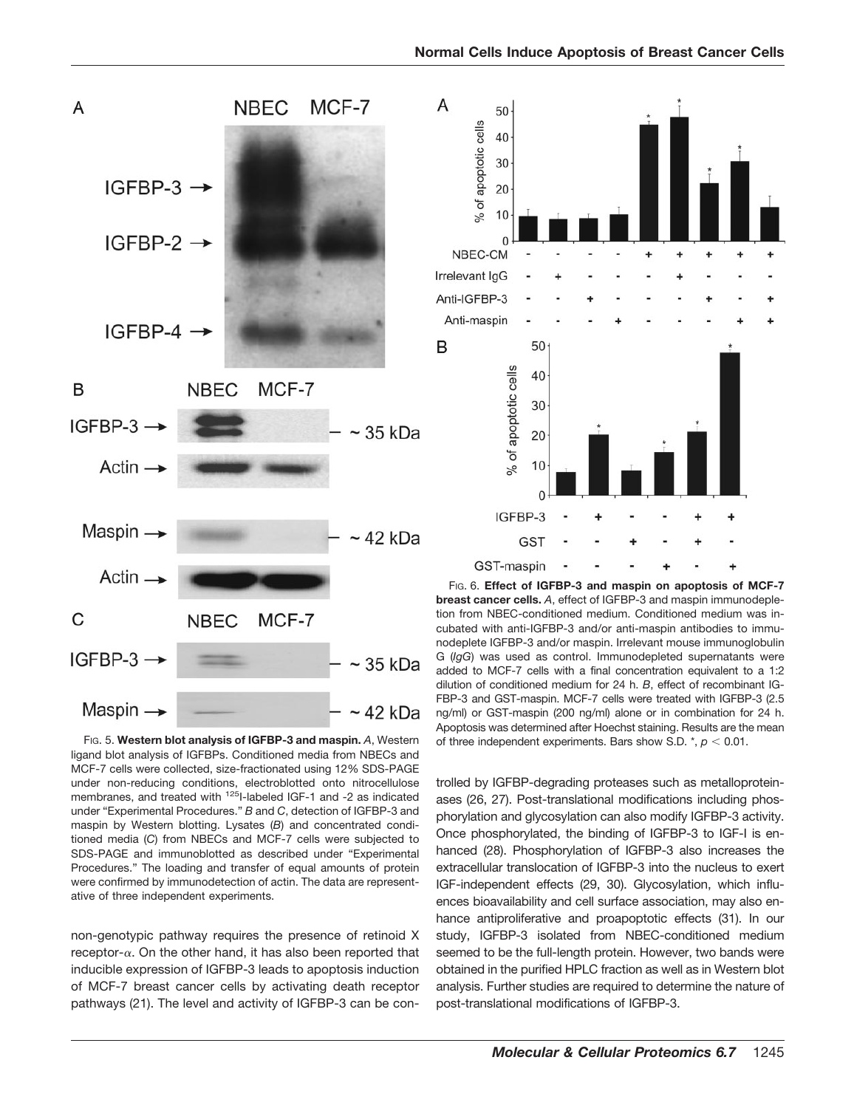35 kDa 42 kDa FIG. 5. **Western blot analysis of IGFBP-3 and maspin.** *A*, Western

ligand blot analysis of IGFBPs. Conditioned media from NBECs and MCF-7 cells were collected, size-fractionated using 12% SDS-PAGE under non-reducing conditions, electroblotted onto nitrocellulose membranes, and treated with <sup>125</sup>I-labeled IGF-1 and -2 as indicated under "Experimental Procedures." *B* and *C*, detection of IGFBP-3 and maspin by Western blotting. Lysates (*B*) and concentrated conditioned media (*C*) from NBECs and MCF-7 cells were subjected to SDS-PAGE and immunoblotted as described under "Experimental Procedures." The loading and transfer of equal amounts of protein were confirmed by immunodetection of actin. The data are representative of three independent experiments.

non-genotypic pathway requires the presence of retinoid X receptor- $\alpha$ . On the other hand, it has also been reported that inducible expression of IGFBP-3 leads to apoptosis induction of MCF-7 breast cancer cells by activating death receptor pathways (21). The level and activity of IGFBP-3 can be con-

FIG. 6. **Effect of IGFBP-3 and maspin on apoptosis of MCF-7 breast cancer cells.** *A*, effect of IGFBP-3 and maspin immunodepletion from NBEC-conditioned medium. Conditioned medium was incubated with anti-IGFBP-3 and/or anti-maspin antibodies to immunodeplete IGFBP-3 and/or maspin. Irrelevant mouse immunoglobulin G (*IgG*) was used as control. Immunodepleted supernatants were added to MCF-7 cells with a final concentration equivalent to a 1:2 dilution of conditioned medium for 24 h. *B*, effect of recombinant IG-FBP-3 and GST-maspin. MCF-7 cells were treated with IGFBP-3 (2.5 ng/ml) or GST-maspin (200 ng/ml) alone or in combination for 24 h. Apoptosis was determined after Hoechst staining. Results are the mean of three independent experiments. Bars show S.D.  $\dot{r}$ ,  $p < 0.01$ .

trolled by IGFBP-degrading proteases such as metalloproteinases (26, 27). Post-translational modifications including phosphorylation and glycosylation can also modify IGFBP-3 activity. Once phosphorylated, the binding of IGFBP-3 to IGF-I is enhanced (28). Phosphorylation of IGFBP-3 also increases the extracellular translocation of IGFBP-3 into the nucleus to exert IGF-independent effects (29, 30). Glycosylation, which influences bioavailability and cell surface association, may also enhance antiproliferative and proapoptotic effects (31). In our study, IGFBP-3 isolated from NBEC-conditioned medium seemed to be the full-length protein. However, two bands were obtained in the purified HPLC fraction as well as in Western blot analysis. Further studies are required to determine the nature of

post-translational modifications of IGFBP-3.





50

40 30

20 10  $\frac{5}{6}$ 

 $\sqrt{2}$ 

50

40

30

20

10

 $\Omega$ 

of apoptotic cells

 $\%$ 

IGFBP-3

GST-maspin

**GST** 

of apoptotic cells

NBEC-CM Irrelevant IgG Anti-IGFBP-3 Anti-maspin

Α

В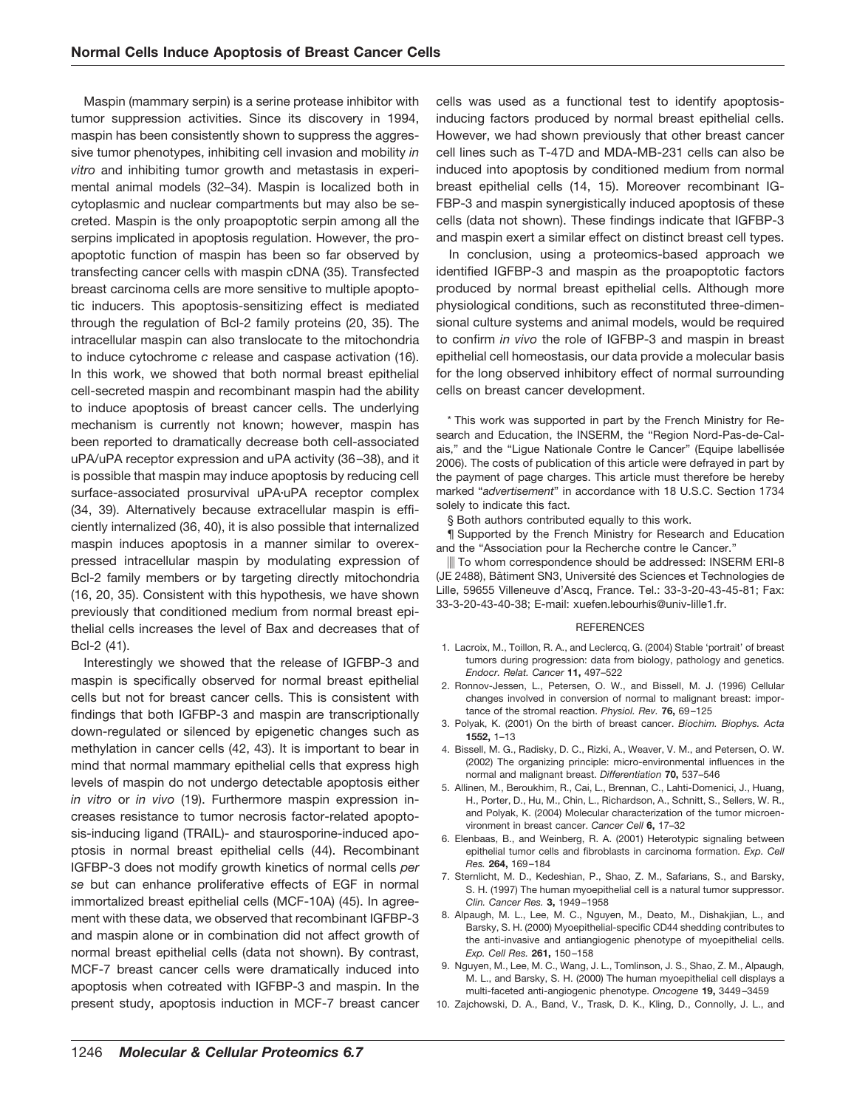Maspin (mammary serpin) is a serine protease inhibitor with tumor suppression activities. Since its discovery in 1994, maspin has been consistently shown to suppress the aggressive tumor phenotypes, inhibiting cell invasion and mobility *in vitro* and inhibiting tumor growth and metastasis in experimental animal models (32–34). Maspin is localized both in cytoplasmic and nuclear compartments but may also be secreted. Maspin is the only proapoptotic serpin among all the serpins implicated in apoptosis regulation. However, the proapoptotic function of maspin has been so far observed by transfecting cancer cells with maspin cDNA (35). Transfected breast carcinoma cells are more sensitive to multiple apoptotic inducers. This apoptosis-sensitizing effect is mediated through the regulation of Bcl-2 family proteins (20, 35). The intracellular maspin can also translocate to the mitochondria to induce cytochrome *c* release and caspase activation (16). In this work, we showed that both normal breast epithelial cell-secreted maspin and recombinant maspin had the ability to induce apoptosis of breast cancer cells. The underlying mechanism is currently not known; however, maspin has been reported to dramatically decrease both cell-associated uPA/uPA receptor expression and uPA activity (36 –38), and it is possible that maspin may induce apoptosis by reducing cell surface-associated prosurvival uPA-uPA receptor complex (34, 39). Alternatively because extracellular maspin is efficiently internalized (36, 40), it is also possible that internalized maspin induces apoptosis in a manner similar to overexpressed intracellular maspin by modulating expression of Bcl-2 family members or by targeting directly mitochondria (16, 20, 35). Consistent with this hypothesis, we have shown previously that conditioned medium from normal breast epithelial cells increases the level of Bax and decreases that of Bcl-2 (41).

Interestingly we showed that the release of IGFBP-3 and maspin is specifically observed for normal breast epithelial cells but not for breast cancer cells. This is consistent with findings that both IGFBP-3 and maspin are transcriptionally down-regulated or silenced by epigenetic changes such as methylation in cancer cells (42, 43). It is important to bear in mind that normal mammary epithelial cells that express high levels of maspin do not undergo detectable apoptosis either *in vitro* or *in vivo* (19). Furthermore maspin expression increases resistance to tumor necrosis factor-related apoptosis-inducing ligand (TRAIL)- and staurosporine-induced apoptosis in normal breast epithelial cells (44). Recombinant IGFBP-3 does not modify growth kinetics of normal cells *per se* but can enhance proliferative effects of EGF in normal immortalized breast epithelial cells (MCF-10A) (45). In agreement with these data, we observed that recombinant IGFBP-3 and maspin alone or in combination did not affect growth of normal breast epithelial cells (data not shown). By contrast, MCF-7 breast cancer cells were dramatically induced into apoptosis when cotreated with IGFBP-3 and maspin. In the present study, apoptosis induction in MCF-7 breast cancer cells was used as a functional test to identify apoptosisinducing factors produced by normal breast epithelial cells. However, we had shown previously that other breast cancer cell lines such as T-47D and MDA-MB-231 cells can also be induced into apoptosis by conditioned medium from normal breast epithelial cells (14, 15). Moreover recombinant IG-FBP-3 and maspin synergistically induced apoptosis of these cells (data not shown). These findings indicate that IGFBP-3 and maspin exert a similar effect on distinct breast cell types.

In conclusion, using a proteomics-based approach we identified IGFBP-3 and maspin as the proapoptotic factors produced by normal breast epithelial cells. Although more physiological conditions, such as reconstituted three-dimensional culture systems and animal models, would be required to confirm *in vivo* the role of IGFBP-3 and maspin in breast epithelial cell homeostasis, our data provide a molecular basis for the long observed inhibitory effect of normal surrounding cells on breast cancer development.

\* This work was supported in part by the French Ministry for Research and Education, the INSERM, the "Region Nord-Pas-de-Calais," and the "Ligue Nationale Contre le Cancer" (Equipe labellisée 2006). The costs of publication of this article were defrayed in part by the payment of page charges. This article must therefore be hereby marked "*advertisement*" in accordance with 18 U.S.C. Section 1734 solely to indicate this fact.

§ Both authors contributed equally to this work.

¶ Supported by the French Ministry for Research and Education and the "Association pour la Recherche contre le Cancer."

 To whom correspondence should be addressed: INSERM ERI-8 (JE 2488), Bâtiment SN3, Université des Sciences et Technologies de Lille, 59655 Villeneuve d'Ascq, France. Tel.: 33-3-20-43-45-81; Fax: 33-3-20-43-40-38; E-mail: xuefen.lebourhis@univ-lille1.fr.

#### **REFERENCES**

- 1. Lacroix, M., Toillon, R. A., and Leclercq, G. (2004) Stable 'portrait' of breast tumors during progression: data from biology, pathology and genetics. *Endocr. Relat. Cancer* **11,** 497–522
- 2. Ronnov-Jessen, L., Petersen, O. W., and Bissell, M. J. (1996) Cellular changes involved in conversion of normal to malignant breast: importance of the stromal reaction. *Physiol. Rev.* **76,** 69 –125
- 3. Polyak, K. (2001) On the birth of breast cancer. *Biochim. Biophys. Acta* **1552,** 1–13
- 4. Bissell, M. G., Radisky, D. C., Rizki, A., Weaver, V. M., and Petersen, O. W. (2002) The organizing principle: micro-environmental influences in the normal and malignant breast. *Differentiation* **70,** 537–546
- 5. Allinen, M., Beroukhim, R., Cai, L., Brennan, C., Lahti-Domenici, J., Huang, H., Porter, D., Hu, M., Chin, L., Richardson, A., Schnitt, S., Sellers, W. R., and Polyak, K. (2004) Molecular characterization of the tumor microenvironment in breast cancer. *Cancer Cell* **6,** 17–32
- 6. Elenbaas, B., and Weinberg, R. A. (2001) Heterotypic signaling between epithelial tumor cells and fibroblasts in carcinoma formation. *Exp. Cell Res.* **264,** 169 –184
- 7. Sternlicht, M. D., Kedeshian, P., Shao, Z. M., Safarians, S., and Barsky, S. H. (1997) The human myoepithelial cell is a natural tumor suppressor. *Clin. Cancer Res.* **3,** 1949 –1958
- 8. Alpaugh, M. L., Lee, M. C., Nguyen, M., Deato, M., Dishakjian, L., and Barsky, S. H. (2000) Myoepithelial-specific CD44 shedding contributes to the anti-invasive and antiangiogenic phenotype of myoepithelial cells. *Exp. Cell Res.* **261,** 150 –158
- 9. Nguyen, M., Lee, M. C., Wang, J. L., Tomlinson, J. S., Shao, Z. M., Alpaugh, M. L., and Barsky, S. H. (2000) The human myoepithelial cell displays a multi-faceted anti-angiogenic phenotype. *Oncogene* **19,** 3449 –3459
- 10. Zajchowski, D. A., Band, V., Trask, D. K., Kling, D., Connolly, J. L., and